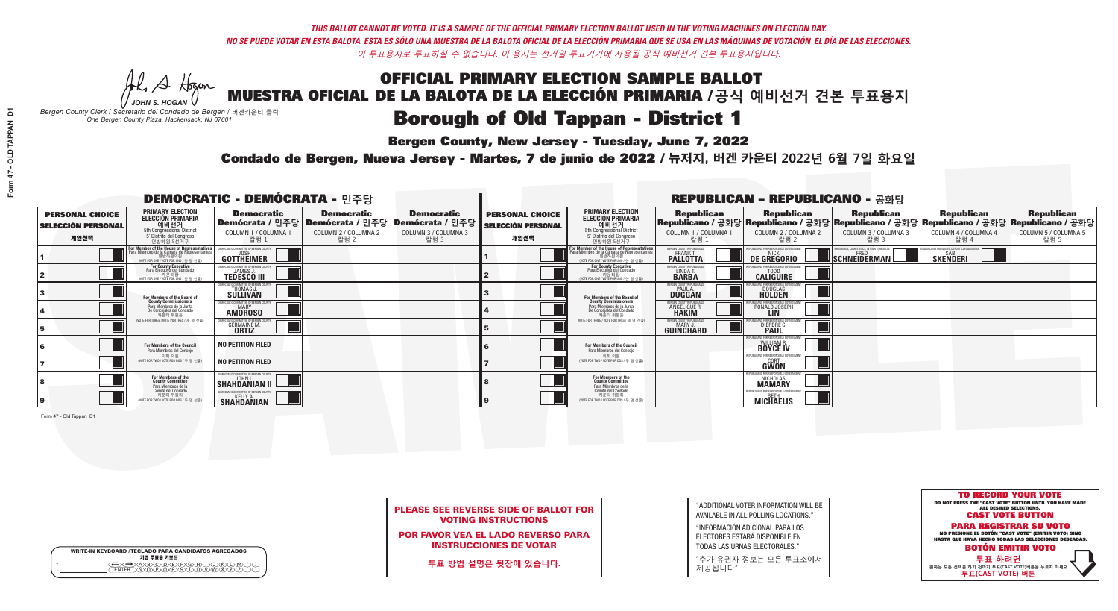## OFFICIAL PRIMARY ELECTION SAMPLE BALLOT MUESTRA OFICIAL DE LA BALOTA DE LA ELECCIÓN PRIMARIA /**공식 예비선거 견본 투표용지 Borough of Old Tappan - District 1**

A Hogen

**Bergen County, New Jersey - Tuesday, June 7, 2022** 

| <b>WRITE-IN KEYBOARD /TECLADO PARA CANDIDATOS AGREGADOS</b><br>기명 투표용 키보드 |  |
|---------------------------------------------------------------------------|--|
| ACBCODECFOGCHX<br><b>ዂዂዂዂዂጞጞጞ</b>                                         |  |

*JOHN S. HOGAN Bergen County Clerk / Secretario del Condado de Bergen /* 버겐카운티 클럭 *One Bergen County Plaza, Hackensack, NJ 07601*



| <b>PLEASE SEE REVERSE SIDE OF BALLOT FOR</b> |
|----------------------------------------------|
| <b>VOTING INSTRUCTIONS</b>                   |

POR FAVOR VEA EL LADO REVERSO PARA INSTRUCCIONES DE VOTAR

**투표 방법 설명은 뒷장에 있습니다.**

"ADDITIONAL VOTER INFORMATION WILL BE AVAILABLE IN ALL POLLING LOCATIONS."

"INFORMACIÓN ADICIONAL PARA LOS ELECTORES ESTARÁ DISPONIBLE EN TODAS LAS URNAS ELECTORALES."

"추가 유권자 정보는 모든 투표소에서 제공됩니다"

Condado de Bergen, Nueva Jersey - Martes, 7 de junio de 2022 / 뉴저지, 버겐 카운티 2022년 6월 7일 화요일 *One Bergen County Plaza, Hackensack, NJ 07601*

Form 47 - Old Tappan D1

| <b>DEMOCRATIC - DEMÓCRATA - 민주당</b>                         |                                                                                                                                              |                                                                    |                                                   |                                                                                                        |                                                             |                                                                                                                                              |                                                                | <b>REPUBLICAN - REPUBLICANO - 공화당</b>                           |                                                                                                                                                |                                                               |                                                   |
|-------------------------------------------------------------|----------------------------------------------------------------------------------------------------------------------------------------------|--------------------------------------------------------------------|---------------------------------------------------|--------------------------------------------------------------------------------------------------------|-------------------------------------------------------------|----------------------------------------------------------------------------------------------------------------------------------------------|----------------------------------------------------------------|-----------------------------------------------------------------|------------------------------------------------------------------------------------------------------------------------------------------------|---------------------------------------------------------------|---------------------------------------------------|
| <b>PERSONAL CHOICE</b><br><b>SELECCIÓN PERSONAL</b><br>개인선택 | <b>PRIMARY ELECTION</b><br><b>ELECCIÓN PRIMARIA</b><br>예비선거<br>5th Congressional District<br>5° Distrito del Congreso<br>연방하원 5선거구           | <b>Democratic</b><br>COLUMN 1 / COLUMNA 1<br>칼럼 1                  | <b>Democratic</b><br>COLUMN 2 / COLUMNA 2<br>칼럼 2 | <b>Democratic</b><br>│Demócrata / 민주당│Demócrata / 민주당│Demócrata / 민주당│<br>COLUMN 3 / COLUMNA 3<br>칼럼 3 | <b>PERSONAL CHOICE</b><br><b>SELECCIÓN PERSONAL</b><br>개인선택 | <b>PRIMARY ELECTION</b><br><b>ELECCIÓN PRIMARIA</b><br>5th Congressional District<br>5° Distrito del Congreso<br>연방하원 5선거구                   | <b>Republican</b><br>COLUMN 1 / COLUMNA 1<br>칼럼 :              | <b>Republican</b><br>COLUMN 2 / COLUMNA 2<br>칼럼 2               | <b>Republican</b><br>Republicano / 공화당 Republicano / 공화당 Republicano / 공화당 Republicano / 공화당 Republicano / 공화당<br>COLUMN 3 / COLUMNA 3<br>칼럼 3 | <b>Republican</b><br>COLUMN 4 / COLUMNA 4<br>칼럼 4             | <b>Republican</b><br>COLUMN 5 / COLUMNA 5<br>칼럼 5 |
|                                                             | For Member of the House of Representatives<br>Para Miembro de la Cámara de Representantes<br>연방하원의원<br>(VOTE FOR ONE / VOTE POR UNO / 한 명 선출 | DEMOCRATIC COMMITTEE OF BERGEN COUNTY<br>JOSH<br><b>GOTTHEIMER</b> |                                                   |                                                                                                        |                                                             | For Member of the House of Representatives<br>Para Miembro de la Cámara de Representantes<br>연방하원의원<br>(VOTE FOR ONE / VOTE POR UNO / 한 명 선출 | BERGEN COUNTY REPUBLICANS<br>FRANK T.<br><b>PALLOTTA</b>       | DE GREGORIO                                                     | SCHNEIDERMAN                                                                                                                                   | D VACCINE MANDATES, DEPORT ILLEGAL ALIENS.<br><b>SKENDERI</b> |                                                   |
|                                                             | <b>For County Executive</b><br>Para Ejecutivo del Condado<br>. 카운티장<br>(VOTE FOR ONE / VOTE POR UNO / 한 명 선출)                                | )EMOCRATIC COMMITTEE OF BERGEN COUNT<br><b>TEDESCO III</b>         |                                                   |                                                                                                        |                                                             | <b>For County Executive</b><br>Para Ejecutivo del Condado<br>카운티장<br>(VOTE FOR ONE / VOTE POR UNO / 한 명 선출)                                  | BERGEN COUNTY REPUBLICAN<br>LINDAT.                            | <b>CALIGUIRE</b>                                                |                                                                                                                                                |                                                               |                                                   |
|                                                             | For Members of the Board of<br>County Commissioners                                                                                          | MOCRATIC COMMITTEE OF BERGEN COUNT<br><b>SULLIVAN</b>              |                                                   |                                                                                                        |                                                             | For Members of the Board of<br>County Commissioners                                                                                          | ERGEN COUNTY REPUBLICAN<br><b>PAUL A.</b><br><b>DUGGAN</b>     | DOUGLAS<br>HOLDEN                                               |                                                                                                                                                |                                                               |                                                   |
|                                                             | Para Miembros de la Junta<br>De Concejales del Condado<br>카운티 위원들                                                                            | <b>10CRATIC COMMITTEE OF BERGEN COUNTY</b><br><b>AMOROSO</b>       |                                                   |                                                                                                        |                                                             | Para Miembros de la Junta<br>De Concejales del Condado<br>카운티 위원들                                                                            | ERGEN COUNTY REPUBLICAN:<br><b>ANGELIQUE R</b><br><b>HAKIM</b> | RONALD JOSEPH                                                   |                                                                                                                                                |                                                               |                                                   |
|                                                             | NOTE FOR THREE / VOTE POR TRES / 세 명 선출)                                                                                                     | RATIC COMMITTEE OF BERGEN COUN'<br><b>GERMAINE M.</b>              |                                                   |                                                                                                        |                                                             | NOTE FOR THREE / VOTE POR TRES / 세 명 선출)                                                                                                     | ERGEN COUNTY REPUBLICANS<br>MARY J.<br>GUINCHARD               | DIERDRE G                                                       |                                                                                                                                                |                                                               |                                                   |
|                                                             | For Members of the Council<br>Para Miembros del Concejo                                                                                      | <b>NO PETITION FILED</b>                                           |                                                   |                                                                                                        |                                                             | For Members of the Council<br>Para Miembros del Conceio                                                                                      |                                                                | ANS FOR RESPONSIBLE G<br><b>WILLIAM R.<br/>BOYCE IV</b>         |                                                                                                                                                |                                                               |                                                   |
|                                                             | 의회 의원<br>(VOTE FOR TWO / VOTE POR DOS / 두 명 선출                                                                                               | <b>NO PETITION FILED</b>                                           |                                                   |                                                                                                        |                                                             | 의회 의원<br>(VOTE FOR TWO / VOTE POR DOS / 두 명 선출)                                                                                              |                                                                | EPUBLICANS FOR RESPONSIBLE GOVERNMENT<br>GŴÖN                   |                                                                                                                                                |                                                               |                                                   |
|                                                             | For Members of the<br>County Committee<br>Para Miembros de la<br>Comité del Condado                                                          | MOCRATIC COMMITTEE OF BERGEN COUNTY<br>SHAHDANIAN II               |                                                   |                                                                                                        |                                                             | For Members of the<br>County Committee<br>Para Miembros de la<br>Comité del Condado                                                          |                                                                | PUBLICANS FOR RESPONSIBLE (<br><b>NICHOLAS</b><br><b>MAMARY</b> |                                                                                                                                                |                                                               |                                                   |
|                                                             | 카운티 위원회<br>(VOTE FOR TWO / VOTE POR DOS / 두 명 선출)                                                                                            | <b>SHAHDANIAN</b>                                                  |                                                   |                                                                                                        |                                                             | 카운티 위원회<br>WOTE FOR TWO / VOTE POR DOS / 두 명 선출)                                                                                             |                                                                | REPUBLICANS FOR RESPONSIBLE GOVERNMEN<br><b>MICHAELIS</b>       |                                                                                                                                                |                                                               |                                                   |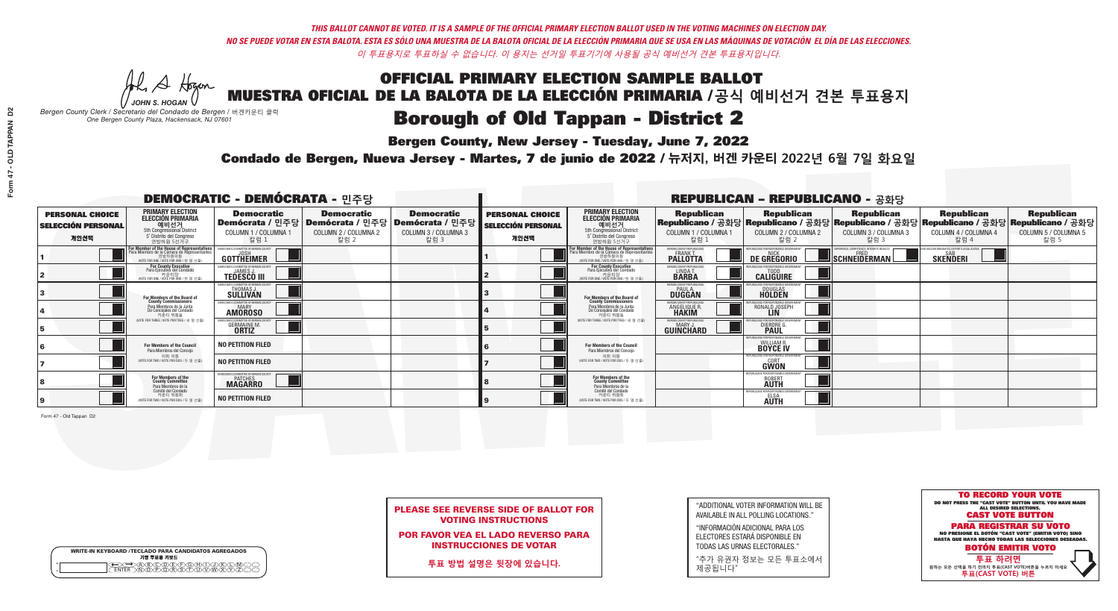## OFFICIAL PRIMARY ELECTION SAMPLE BALLOT MUESTRA OFICIAL DE LA BALOTA DE LA ELECCIÓN PRIMARIA /**공식 예비선거 견본 투표용지 Borough of Old Tappan - District 2**

**Bergen County, New Jersey - Tuesday, June 7, 2022** 

A Hogen *JOHN S. HOGAN*

| <b>WRITE-IN KEYBOARD /TECLADO PARA CANDIDATOS AGREGADOS</b><br>기명 투표용 키보드 |  |
|---------------------------------------------------------------------------|--|
| @@@@@@@@@@@@<br>\@@@@@@@@@@@@@@<br><b>FNTFR</b>                           |  |

*Bergen County Clerk / Secretario del Condado de Bergen /* 버겐카운티 클럭 *One Bergen County Plaza, Hackensack, NJ 07601*

Condado de Bergen, Nueva Jersey - Martes, 7 de junio de 2022 / 뉴저지, 버겐 카운티 2022년 6월 7일 화요일 *One Bergen County Plaza, Hackensack, NJ 07601*



| <b>PLEASE SEE REVERSE SIDE OF BALLOT FOR</b> |
|----------------------------------------------|
| <b>VOTING INSTRUCTIONS</b>                   |

POR FAVOR VEA EL LADO REVERSO PARA INSTRUCCIONES DE VOTAR

**투표 방법 설명은 뒷장에 있습니다.**

"ADDITIONAL VOTER INFORMATION WILL BE AVAILABLE IN ALL POLLING LOCATIONS."

"INFORMACIÓN ADICIONAL PARA LOS ELECTORES ESTARÁ DISPONIBLE EN TODAS LAS URNAS ELECTORALES."

"추가 유권자 정보는 모든 투표소에서 제공됩니다"

Form 47 - Old Tappan D2

| <b>DEMOCRATIC - DEMÓCRATA - 민주당</b>                         |                                                                                                                                             |                                                                            |                                                   |                                                                                                        |                                                             |                                                                                                                                               |                                                            | <b>REPUBLICAN - REPUBLICANO - 공화당</b>                                                                                                          |                                                   |                                                                 |                                                   |
|-------------------------------------------------------------|---------------------------------------------------------------------------------------------------------------------------------------------|----------------------------------------------------------------------------|---------------------------------------------------|--------------------------------------------------------------------------------------------------------|-------------------------------------------------------------|-----------------------------------------------------------------------------------------------------------------------------------------------|------------------------------------------------------------|------------------------------------------------------------------------------------------------------------------------------------------------|---------------------------------------------------|-----------------------------------------------------------------|---------------------------------------------------|
| <b>PERSONAL CHOICE</b><br><b>SELECCIÓN PERSONAL</b><br>개인선택 | <b>PRIMARY ELECTION</b><br><b>ELECCIÓN PRIMARIA</b><br>예비선거<br>5th Congressional District<br>5° Distrito del Congreso<br>연방하원 5선거구          | <b>Democratic</b><br>COLUMN 1 / COLUMNA 1<br>칼럼 :                          | <b>Democratic</b><br>COLUMN 2 / COLUMNA 2<br>칼럼 2 | <b>Democratic</b><br>│Demócrata / 민주당│Demócrata / 민주당│Demócrata / 민주당┃<br>COLUMN 3 / COLUMNA 3<br>칼럼 3 | <b>PERSONAL CHOICE</b><br><b>SELECCIÓN PERSONAL</b><br>개인선택 | <b>PRIMARY ELECTION</b><br><b>ELECCIÓN PRIMARIA</b><br><u>. 예비선거</u><br>5th Congressional District<br>5° Distrito del Congreso<br>연방하원 5선거구   | <b>Republican</b><br>COLUMN 1 / COLUMNA 1<br>칼럼            | <b>Republican</b><br>Republicano / 공화당 Republicano / 공화당 Republicano / 공화당 Republicano / 공화당 Republicano / 공화당<br>COLUMN 2 / COLUMNA 2<br>칼럼 2 | <b>Republican</b><br>COLUMN 3 / COLUMNA 3<br>칼럼 3 | <b>Republican</b><br>COLUMN 4 / COLUMNA 4<br>칼럼 4               | <b>Republican</b><br>COLUMN 5 / COLUMNA 5<br>칼럼 5 |
|                                                             | or Member of the House of Representatives<br>ara Miembro de la Cámara de Representantes<br>연방하원의원<br>(VOTE FOR ONE / VOTE POR UNO / 한 명 선출) | DEMOCRATIC COMMITTEE OF BERGEN COUNTY<br>JOSH<br><b>GOTTHEIMER</b>         |                                                   |                                                                                                        |                                                             | For Member of the House of Representatives<br>Para Miembro de la Cámara de Representantes<br>연방하원의원<br>(VOTE FOR ONE / VOTE POR UNO / 한 명 선출) | BERGEN COUNTY REPUBLICANS<br>FRANK T.<br><b>PALLOTTA</b>   | DE GREGORIO                                                                                                                                    | SCHNEIDERMAN                                      | D VACCINE MANDATES, DEPORT ILLEGAL ALIENS. [<br><b>SKENDERI</b> |                                                   |
|                                                             | For County Executive<br>Para Ejecutivo del Condado<br>가운티장 - 카운티장<br>(VOTE FOR ONE / VOTE POR UNO / 한 명 선출)                                 | )EMOCRATIC COMMITTEE OF BERGEN COUNTY<br><b>TEDESCO III</b>                |                                                   |                                                                                                        |                                                             | <b>For County Executive</b><br>Para Ejecutivo del Condado<br>카운티장<br>(VOTE FOR ONE / VOTE POR UNO / 한 명 선출)                                   | BERGEN COUNTY REPUBLICAN<br>LINDA T.                       | <b>CALIGUIRE</b>                                                                                                                               |                                                   |                                                                 |                                                   |
|                                                             | For Members of the Board of<br>County Commissioners                                                                                         | MOCRATIC COMMITTEE OF BERGEN COUNT<br><b>THOMAS J.</b><br><b>SULLIVAN</b>  |                                                   |                                                                                                        |                                                             | For Members of the Board of<br>County Commissioners                                                                                           | ERGEN COUNTY REPUBLICAN<br><b>PAUL A.</b><br><b>DUGGAN</b> | <b>DOUGLAS</b>                                                                                                                                 |                                                   |                                                                 |                                                   |
|                                                             | Para Miembros de la Junta<br>De Concejales del Condado<br>카우티 위원들                                                                           | <b>OCRATIC COMMITTEE OF BERGEN COUNTY</b><br><b>MARY</b><br><b>AMOROSO</b> |                                                   |                                                                                                        |                                                             | Para Miembros de la Junta<br>De Concejales del Condado<br>카우티 위원들                                                                             | ERGEN COUNTY REPUBLICAN<br>ANGELIQUE R                     | RONALD JOSEPH<br><b>LIN</b>                                                                                                                    |                                                   |                                                                 |                                                   |
|                                                             | NOTE FOR THREE / VOTE POR TRES / 세 명 선출)                                                                                                    | TIC COMMITTEE OF BERGEN CO<br><b>GERMAINE M.</b>                           |                                                   |                                                                                                        |                                                             | NOTE FOR THREE / VOTE POR TRES / 세 명 선출                                                                                                       | ERGEN COUNTY REPUBLICANS<br>MARY J.<br>GUINCHARD           | FOR RESPONSIBI E G<br>DIERDRE G                                                                                                                |                                                   |                                                                 |                                                   |
|                                                             | For Members of the Council<br>Para Miembros del Conceio                                                                                     | <b>NO PETITION FILED</b>                                                   |                                                   |                                                                                                        |                                                             | <b>For Members of the Council</b><br>Para Miembros del Concejo                                                                                |                                                            | RI ICANS ENR RESPONSIRI E GO<br><b>WILLIAM R.<br/>BOYCE IV</b>                                                                                 |                                                   |                                                                 |                                                   |
|                                                             | 의회 의원<br>(VOTE FOR TWO / VOTE POR DOS / 두 명 선출                                                                                              | <b>NO PETITION FILED</b>                                                   |                                                   |                                                                                                        |                                                             | 의회 의원<br>(VOTE FOR TWO / VOTE POR DOS / 두 명 선출)                                                                                               |                                                            | PUBLICANS FOR RESPONSIBLE GOVERNMEN<br>GŴÖN                                                                                                    |                                                   |                                                                 |                                                   |
|                                                             | For Members of the<br>County Committee<br>Para Miembros de la<br>Comité del Condado                                                         | <b>MAGARRO</b>                                                             |                                                   |                                                                                                        |                                                             | For Members of the<br>County Committee<br>Para Miembros de la<br>Comité del Condado                                                           |                                                            | EPUBLICANS FOR RESPONSIBLE<br><b>AUTH</b>                                                                                                      |                                                   |                                                                 |                                                   |
|                                                             | 카운티 위원회<br>NOTE FOR TWO / VOTE POR DOS / 두 명 선출)                                                                                            | <b>NO PETITION FILED</b>                                                   |                                                   |                                                                                                        |                                                             | 카운티 위원회<br>NOTE FOR TWO / VOTE POR DOS / 두 명 선출)                                                                                              |                                                            | REPUBLICANS FOR RESPONSIBLE (<br>ELSA<br><b>AUTH</b>                                                                                           |                                                   |                                                                 |                                                   |